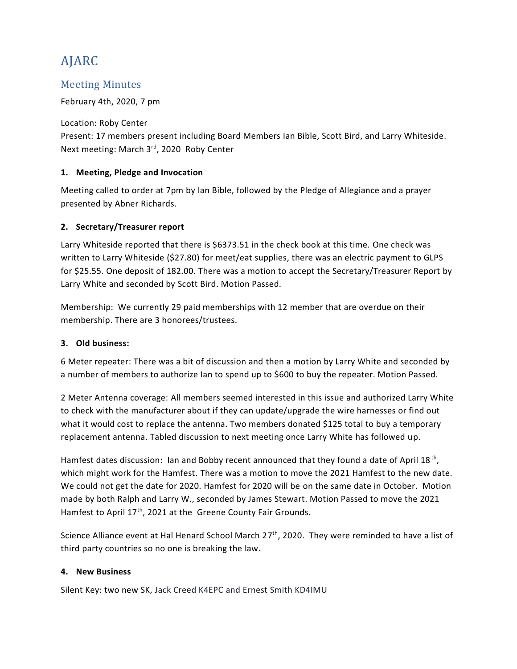# AJARC

## Meeting Minutes

#### February 4th, 2020, 7 pm

### Location: Roby Center

Present: 17 members present including Board Members Ian Bible, Scott Bird, and Larry Whiteside. Next meeting: March 3rd, 2020 Roby Center

#### **1. Meeting, Pledge and Invocation**

Meeting called to order at 7pm by Ian Bible, followed by the Pledge of Allegiance and a prayer presented by Abner Richards.

#### **2. Secretary/Treasurer report**

Larry Whiteside reported that there is \$6373.51 in the check book at this time. One check was written to Larry Whiteside (\$27.80) for meet/eat supplies, there was an electric payment to GLPS for \$25.55. One deposit of 182.00. There was a motion to accept the Secretary/Treasurer Report by Larry White and seconded by Scott Bird. Motion Passed.

Membership: We currently 29 paid memberships with 12 member that are overdue on their membership. There are 3 honorees/trustees.

#### **3. Old business:**

6 Meter repeater: There was a bit of discussion and then a motion by Larry White and seconded by a number of members to authorize Ian to spend up to \$600 to buy the repeater. Motion Passed.

2 Meter Antenna coverage: All members seemed interested in this issue and authorized Larry White to check with the manufacturer about if they can update/upgrade the wire harnesses or find out what it would cost to replace the antenna. Two members donated \$125 total to buy a temporary replacement antenna. Tabled discussion to next meeting once Larry White has followed up.

Hamfest dates discussion: Ian and Bobby recent announced that they found a date of April 18<sup>th</sup>, which might work for the Hamfest. There was a motion to move the 2021 Hamfest to the new date. We could not get the date for 2020. Hamfest for 2020 will be on the same date in October. Motion made by both Ralph and Larry W., seconded by James Stewart. Motion Passed to move the 2021 Hamfest to April 17<sup>th</sup>, 2021 at the Greene County Fair Grounds.

Science Alliance event at Hal Henard School March 27<sup>th</sup>, 2020. They were reminded to have a list of third party countries so no one is breaking the law.

#### **4. New Business**

Silent Key: two new SK, Jack Creed K4EPC and Ernest Smith KD4IMU